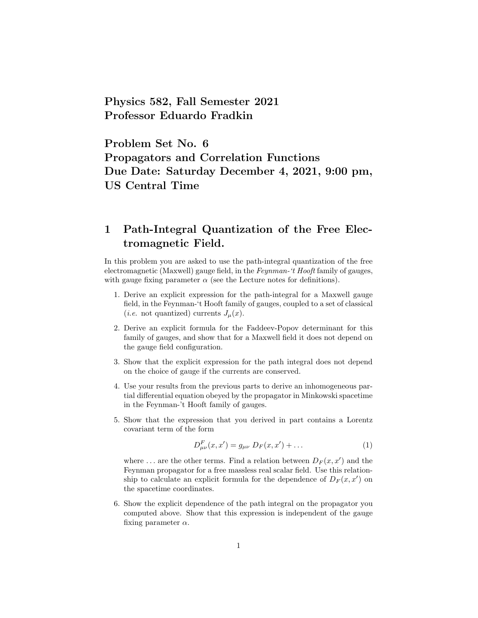Physics 582, Fall Semester 2021 Professor Eduardo Fradkin

Problem Set No. 6 Propagators and Correlation Functions Due Date: Saturday December 4, 2021, 9:00 pm, US Central Time

## 1 Path-Integral Quantization of the Free Electromagnetic Field.

In this problem you are asked to use the path-integral quantization of the free electromagnetic (Maxwell) gauge field, in the Feynman-'t Hooft family of gauges, with gauge fixing parameter  $\alpha$  (see the Lecture notes for definitions).

- 1. Derive an explicit expression for the path-integral for a Maxwell gauge field, in the Feynman-'t Hooft family of gauges, coupled to a set of classical (*i.e.* not quantized) currents  $J_{\mu}(x)$ .
- 2. Derive an explicit formula for the Faddeev-Popov determinant for this family of gauges, and show that for a Maxwell field it does not depend on the gauge field configuration.
- 3. Show that the explicit expression for the path integral does not depend on the choice of gauge if the currents are conserved.
- 4. Use your results from the previous parts to derive an inhomogeneous partial differential equation obeyed by the propagator in Minkowski spacetime in the Feynman-'t Hooft family of gauges.
- 5. Show that the expression that you derived in part contains a Lorentz covariant term of the form

$$
D_{\mu\nu}^{F}(x, x') = g_{\mu\nu} D_{F}(x, x') + \dots \qquad (1)
$$

where ... are the other terms. Find a relation between  $D_F(x, x')$  and the Feynman propagator for a free massless real scalar field. Use this relationship to calculate an explicit formula for the dependence of  $D_F(x, x')$  on the spacetime coordinates.

6. Show the explicit dependence of the path integral on the propagator you computed above. Show that this expression is independent of the gauge fixing parameter  $\alpha$ .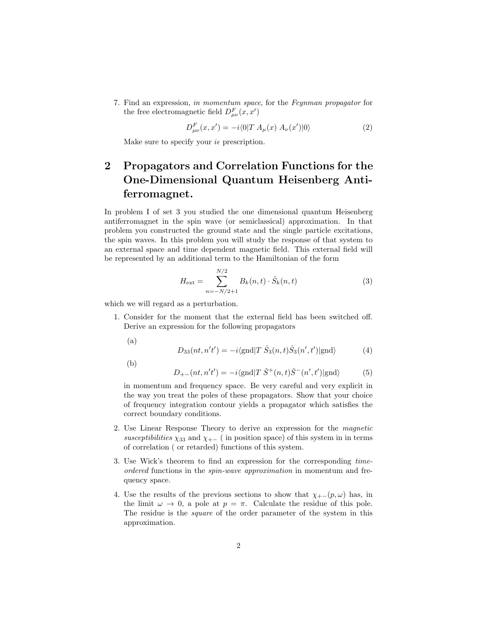7. Find an expression, in momentum space, for the Feynman propagator for the free electromagnetic field  $D_{\mu\nu}^F(x, x')$ 

$$
D_{\mu\nu}^{F}(x, x') = -i \langle 0|T A_{\mu}(x) A_{\nu}(x')|0 \rangle \tag{2}
$$

Make sure to specify your  $i\epsilon$  prescription.

# 2 Propagators and Correlation Functions for the One-Dimensional Quantum Heisenberg Antiferromagnet.

In problem I of set 3 you studied the one dimensional quantum Heisenberg antiferromagnet in the spin wave (or semiclassical) approximation. In that problem you constructed the ground state and the single particle excitations, the spin waves. In this problem you will study the response of that system to an external space and time dependent magnetic field. This external field will be represented by an additional term to the Hamiltonian of the form

$$
H_{\text{ext}} = \sum_{n=-N/2+1}^{N/2} B_k(n,t) \cdot \hat{S}_k(n,t) \tag{3}
$$

which we will regard as a perturbation.

- 1. Consider for the moment that the external field has been switched off. Derive an expression for the following propagators
	- (a)

$$
D_{33}(nt, n't') = -i\langle \text{gnd} | T \hat{S}_3(n, t) \hat{S}_3(n', t') | \text{gnd} \rangle \tag{4}
$$

(b)

$$
D_{+-}(nt, n't') = -i\langle \text{gnd} | T \hat{S}^+(n, t)\hat{S}^-(n', t') | \text{gnd} \rangle \tag{5}
$$

in momentum and frequency space. Be very careful and very explicit in the way you treat the poles of these propagators. Show that your choice of frequency integration contour yields a propagator which satisfies the correct boundary conditions.

- 2. Use Linear Response Theory to derive an expression for the magnetic susceptibilities  $\chi_{33}$  and  $\chi_{+-}$  ( in position space) of this system in in terms of correlation ( or retarded) functions of this system.
- 3. Use Wick's theorem to find an expression for the corresponding timeordered functions in the spin-wave approximation in momentum and frequency space.
- 4. Use the results of the previous sections to show that  $\chi_{+-}(p,\omega)$  has, in the limit  $\omega \to 0$ , a pole at  $p = \pi$ . Calculate the residue of this pole. The residue is the square of the order parameter of the system in this approximation.